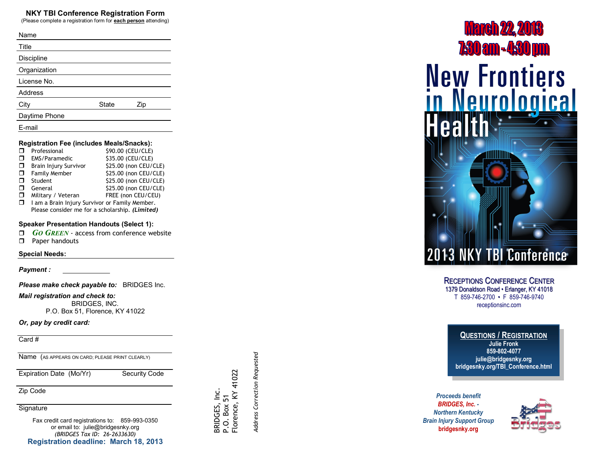#### **NKY TBI Conference Registration Form**

(Please complete a registration form for **each person** attending)

| Name           |              |     |  |
|----------------|--------------|-----|--|
| Title          |              |     |  |
| Discipline     |              |     |  |
| Organization   |              |     |  |
| License No.    |              |     |  |
| <b>Address</b> |              |     |  |
| City           | <b>State</b> | Zip |  |
| Daytime Phone  |              |     |  |
| E-mail         |              |     |  |

#### **Registration Fee (includes Meals/Snacks):**

|        | Professional                                    | \$90.00 (CEU/CLE)     |  |
|--------|-------------------------------------------------|-----------------------|--|
|        | EMS/Paramedic                                   | \$35.00 (CEU/CLE)     |  |
| $\Box$ | Brain Injury Survivor                           | \$25.00 (non CEU/CLE) |  |
| $\Box$ | Family Member                                   | \$25.00 (non CEU/CLE) |  |
|        | Student                                         | \$25.00 (non CEU/CLE) |  |
|        | General                                         | \$25.00 (non CEU/CLE) |  |
| □      | Military / Veteran                              | FREE (non CEU/CEU)    |  |
| $\Box$ | I am a Brain Injury Survivor or Family Member.  |                       |  |
|        | Please consider me for a scholarship. (Limited) |                       |  |

#### **Speaker Presentation Handouts (Select 1):**

- *GO GREEN* access from conference website
- **D** Paper handouts

#### **Special Needs:**

*Payment :* 

*Please make check payable to:* BRIDGES Inc.

*Mail registration and check to:* BRIDGES, INC. P.O. Box 51, Florence, KY 41022

#### *Or, pay by credit card:*

Card #

Name (AS APPEARS ON CARD; PLEASE PRINT CLEARLY)

Expiration Date (Mo/Yr) Security Code

Zip Code

**Signature** 

Fax credit card registrations to: 859 -993 -0350 or email to: julie@bridgesnky.org *(BRIDGES Tax ID: 26 -2633630)* **Registration deadline: March 18, 2013** Address Correction Requested *Address Correction Requested*

BRIDGES, Inc. BRIDGES, Inc.<br>P.O. Box 51<br>Florence, KY 41022 Florence, KY 41022

# **March 22, 2013 7:30 am - 4:30 pm New Frontiers<br>in Neurological**

# **13 NKY TBI Conference**

CONFERENCE CENTER 1379 Donaldson Road • Erlanger, KY 41018 T 859 -746 -2700 • F 859 -746 -9740 receptionsinc.com

# **QUESTIONS / REGISTRATION**

**Julie Fronk 859 -802 -4077 julie@bridgesnky.org bridgesnky.org/TBI\_Conference.html**

*Proceeds benefit BRIDGES, Inc. - Northern Kentucky Brain Injury Support Group* **RECEPTIONS**<br>
1379 Donaldson<br>
T 859-746-<br>
recent<br> **CUESTI**<br>
publismancy<br>
pridgesnky<br>
Proceeds benefit<br>
BRIDGES, Inc.<br>
orthern Kentucky<br>
Injury Support Gr